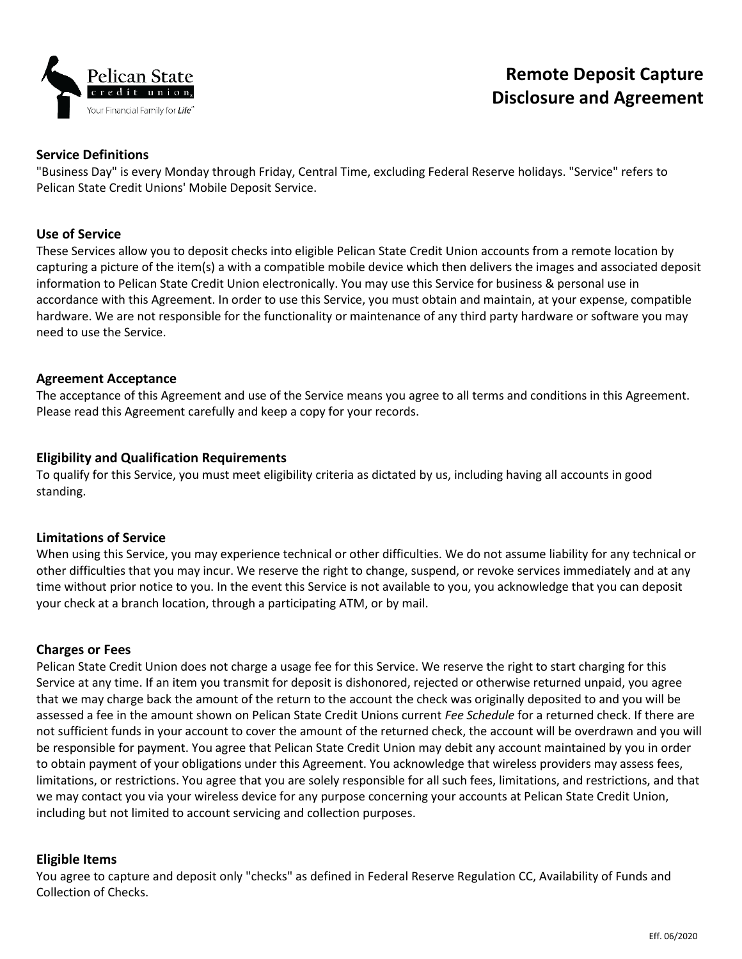

### **Service Definitions**

"Business Day" is every Monday through Friday, Central Time, excluding Federal Reserve holidays. "Service" refers to Pelican State Credit Unions' Mobile Deposit Service.

# **Use of Service**

These Services allow you to deposit checks into eligible Pelican State Credit Union accounts from a remote location by capturing a picture of the item(s) a with a compatible mobile device which then delivers the images and associated deposit information to Pelican State Credit Union electronically. You may use this Service for business & personal use in accordance with this Agreement. In order to use this Service, you must obtain and maintain, at your expense, compatible hardware. We are not responsible for the functionality or maintenance of any third party hardware or software you may need to use the Service.

# **Agreement Acceptance**

The acceptance of this Agreement and use of the Service means you agree to all terms and conditions in this Agreement. Please read this Agreement carefully and keep a copy for your records.

# **Eligibility and Qualification Requirements**

To qualify for this Service, you must meet eligibility criteria as dictated by us, including having all accounts in good standing.

### **Limitations of Service**

When using this Service, you may experience technical or other difficulties. We do not assume liability for any technical or other difficulties that you may incur. We reserve the right to change, suspend, or revoke services immediately and at any time without prior notice to you. In the event this Service is not available to you, you acknowledge that you can deposit your check at a branch location, through a participating ATM, or by mail.

### **Charges or Fees**

Pelican State Credit Union does not charge a usage fee for this Service. We reserve the right to start charging for this Service at any time. If an item you transmit for deposit is dishonored, rejected or otherwise returned unpaid, you agree that we may charge back the amount of the return to the account the check was originally deposited to and you will be assessed a fee in the amount shown on Pelican State Credit Unions current *Fee Schedule* for a returned check. If there are not sufficient funds in your account to cover the amount of the returned check, the account will be overdrawn and you will be responsible for payment. You agree that Pelican State Credit Union may debit any account maintained by you in order to obtain payment of your obligations under this Agreement. You acknowledge that wireless providers may assess fees, limitations, or restrictions. You agree that you are solely responsible for all such fees, limitations, and restrictions, and that we may contact you via your wireless device for any purpose concerning your accounts at Pelican State Credit Union, including but not limited to account servicing and collection purposes.

### **Eligible Items**

You agree to capture and deposit only "checks" as defined in Federal Reserve Regulation CC, Availability of Funds and Collection of Checks.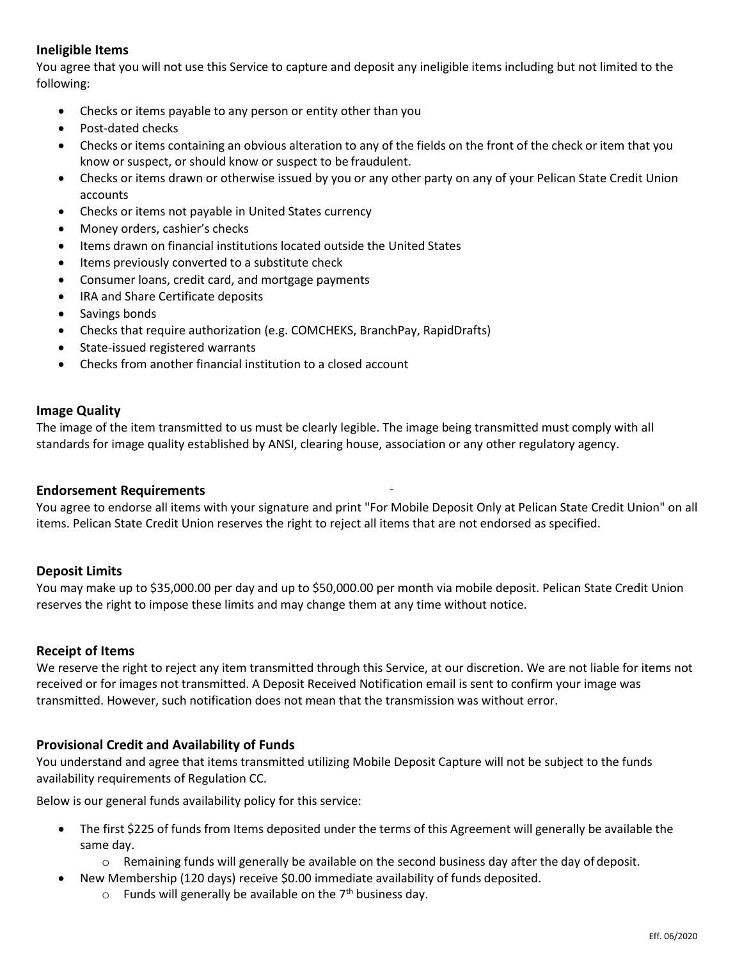# **Ineligible Items**

You agree that you will not use this Service to capture and deposit any ineligible items including but not limited to the following:

- Checks or items payable to any person or entity other than you
- Post-dated checks
- Checks or items containing an obvious alteration to any of the fields on the front of the check or item that you know or suspect, or should know or suspect to be fraudulent.
- Checks or items drawn or otherwise issued by you or any other party on any of your Pelican State Credit Union accounts
- Checks or items not payable in United States currency
- Money orders, cashier's checks
- Items drawn on financial institutions located outside the United States
- Items previously converted to a substitute check
- Consumer loans, credit card, and mortgage payments
- IRA and Share Certificate deposits
- Savings bonds
- Checks that require authorization (e.g. COMCHEKS, BranchPay, RapidDrafts)
- State-issued registered warrants
- Checks from another financial institution to a closed account

### **Image Quality**

The image of the item transmitted to us must be clearly legible. The image being transmitted must comply with all standards for image quality established by ANSI, clearing house, association or any other regulatory agency.

### **Endorsement Requirements**

You agree to endorse all items with your signature and print "For Mobile Deposit Only at Pelican State Credit Union" on all items. Pelican State Credit Union reserves the right to reject all items that are not endorsed as specified.

### **Deposit Limits**

You may make up to \$35,000.00 per day and up to \$50,000.00 per month via mobile deposit. Pelican State Credit Union reserves the right to impose these limits and may change them at any time without notice.

#### **Receipt of Items**

We reserve the right to reject any item transmitted through this Service, at our discretion. We are not liable for items not received or for images not transmitted. A Deposit Received Notification email is sent to confirm your image was transmitted. However, such notification does not mean that the transmission was without error.

### **Provisional Credit and Availability of Funds**

You understand and agree that items transmitted utilizing Mobile Deposit Capture will not be subject to the funds availability requirements of Regulation CC.

Below is our general funds availability policy for this service:

- The first \$225 of funds from Items deposited under the terms of this Agreement will generally be available the same day.
	- o Remaining funds will generally be available on the second business day after the day of deposit.
	- New Membership (120 days) receive \$0.00 immediate availability of funds deposited.
		- $\circ$  Funds will generally be available on the 7<sup>th</sup> business day.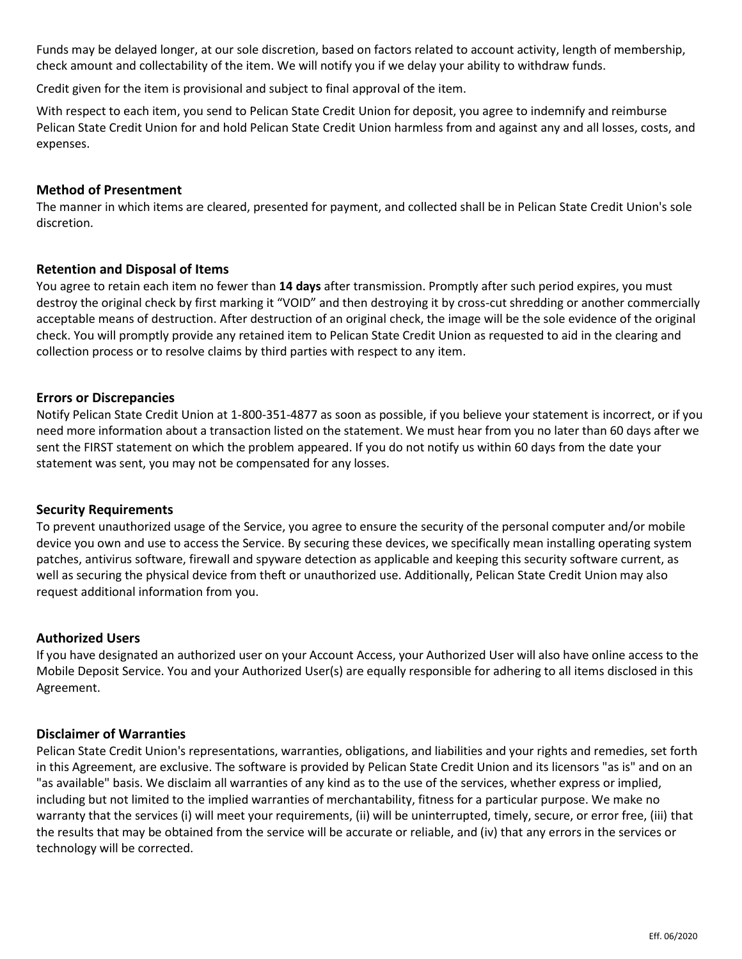Funds may be delayed longer, at our sole discretion, based on factors related to account activity, length of membership, check amount and collectability of the item. We will notify you if we delay your ability to withdraw funds.

Credit given for the item is provisional and subject to final approval of the item.

With respect to each item, you send to Pelican State Credit Union for deposit, you agree to indemnify and reimburse Pelican State Credit Union for and hold Pelican State Credit Union harmless from and against any and all losses, costs, and expenses.

# **Method of Presentment**

The manner in which items are cleared, presented for payment, and collected shall be in Pelican State Credit Union's sole discretion.

# **Retention and Disposal of Items**

You agree to retain each item no fewer than **14 days** after transmission. Promptly after such period expires, you must destroy the original check by first marking it "VOID" and then destroying it by cross-cut shredding or another commercially acceptable means of destruction. After destruction of an original check, the image will be the sole evidence of the original check. You will promptly provide any retained item to Pelican State Credit Union as requested to aid in the clearing and collection process or to resolve claims by third parties with respect to any item.

# **Errors or Discrepancies**

Notify Pelican State Credit Union at 1-800-351-4877 as soon as possible, if you believe your statement is incorrect, or if you need more information about a transaction listed on the statement. We must hear from you no later than 60 days after we sent the FIRST statement on which the problem appeared. If you do not notify us within 60 days from the date your statement was sent, you may not be compensated for any losses.

### **Security Requirements**

To prevent unauthorized usage of the Service, you agree to ensure the security of the personal computer and/or mobile device you own and use to access the Service. By securing these devices, we specifically mean installing operating system patches, antivirus software, firewall and spyware detection as applicable and keeping this security software current, as well as securing the physical device from theft or unauthorized use. Additionally, Pelican State Credit Union may also request additional information from you.

### **Authorized Users**

If you have designated an authorized user on your Account Access, your Authorized User will also have online access to the Mobile Deposit Service. You and your Authorized User(s) are equally responsible for adhering to all items disclosed in this Agreement.

### **Disclaimer of Warranties**

Pelican State Credit Union's representations, warranties, obligations, and liabilities and your rights and remedies, set forth in this Agreement, are exclusive. The software is provided by Pelican State Credit Union and its licensors "as is" and on an "as available" basis. We disclaim all warranties of any kind as to the use of the services, whether express or implied, including but not limited to the implied warranties of merchantability, fitness for a particular purpose. We make no warranty that the services (i) will meet your requirements, (ii) will be uninterrupted, timely, secure, or error free, (iii) that the results that may be obtained from the service will be accurate or reliable, and (iv) that any errors in the services or technology will be corrected.